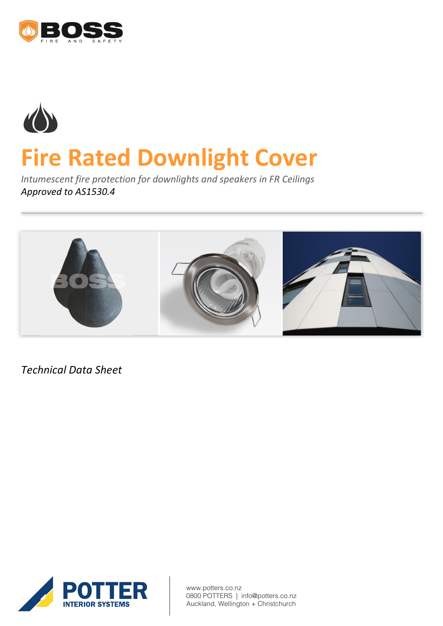



# **Fire Rated Downlight Cover**

*Intumescent fire protection for downlights and speakers in FR Ceilings Approved to AS1530.4*



*Technical Data Sheet*



www.potters.co.nz 0800 POTTERS | info@potters.co.nz Auckland, Wellington + Christchurch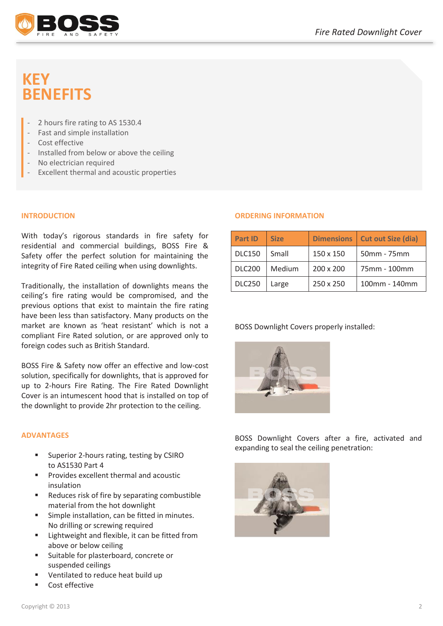

# **KEY BENEFITS**

- 2 hours fire rating to AS 1530.4
- Fast and simple installation
- Cost effective
- Installed from below or above the ceiling
- No electrician required
- Excellent thermal and acoustic properties

### **INTRODUCTION**

With today's rigorous standards in fire safety for residential and commercial buildings, BOSS Fire & Safety offer the perfect solution for maintaining the integrity of Fire Rated ceiling when using downlights.

Traditionally, the installation of downlights means the ceiling's fire rating would be compromised, and the previous options that exist to maintain the fire rating have been less than satisfactory. Many products on the market are known as 'heat resistant' which is not a compliant Fire Rated solution, or are approved only to foreign codes such as British Standard.

BOSS Fire & Safety now offer an effective and low-cost solution, specifically for downlights, that is approved for up to 2-hours Fire Rating. The Fire Rated Downlight Cover is an intumescent hood that is installed on top of the downlight to provide 2hr protection to the ceiling.

#### **ADVANTAGES**

- Superior 2-hours rating, testing by CSIRO to AS1530 Part 4
- Provides excellent thermal and acoustic insulation
- Reduces risk of fire by separating combustible material from the hot downlight
- Simple installation, can be fitted in minutes. No drilling or screwing required
- **EXEC** Lightweight and flexible, it can be fitted from above or below ceiling
- Suitable for plasterboard, concrete or suspended ceilings
- Ventilated to reduce heat build up
- Cost effective

#### **ORDERING INFORMATION**

| <b>Part ID</b> | <b>Size</b> | <b>Dimensions</b> | <b>Cut out Size (dia)</b> |
|----------------|-------------|-------------------|---------------------------|
| <b>DLC150</b>  | Small       | 150 x 150         | 50mm - 75mm               |
| <b>DLC200</b>  | Medium      | 200 x 200         | 75mm - 100mm              |
| <b>DLC250</b>  | Large       | 250 x 250         | 100mm - 140mm             |

#### BOSS Downlight Covers properly installed:



BOSS Downlight Covers after a fire, activated and expanding to seal the ceiling penetration: